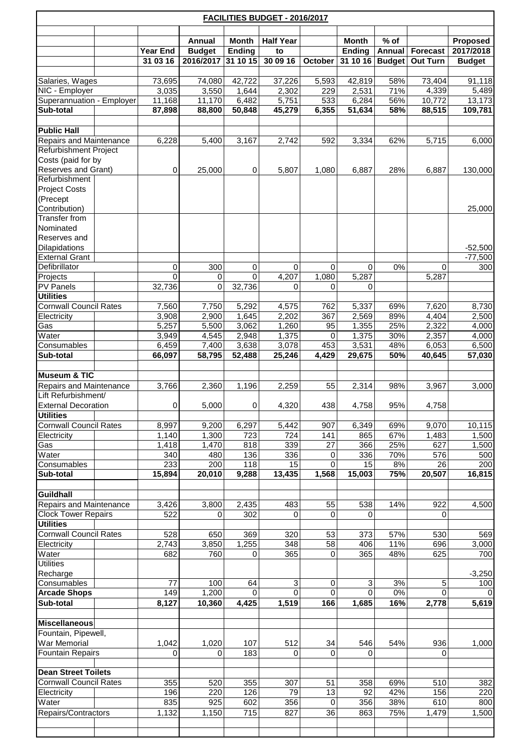| <b>FACILITIES BUDGET - 2016/2017</b>                  |                 |                 |                         |                        |                  |             |                |               |                 |                       |  |  |
|-------------------------------------------------------|-----------------|-----------------|-------------------------|------------------------|------------------|-------------|----------------|---------------|-----------------|-----------------------|--|--|
|                                                       |                 |                 |                         |                        | <b>Half Year</b> |             | <b>Month</b>   | $%$ of        |                 |                       |  |  |
|                                                       |                 | <b>Year End</b> | Annual<br><b>Budget</b> | <b>Month</b><br>Ending | to               |             | Ending         | <b>Annual</b> | <b>Forecast</b> | Proposed<br>2017/2018 |  |  |
|                                                       |                 | 31 03 16        | 2016/2017               | 31 10 15               | 30 09 16         | October     | 31 10 16       | <b>Budget</b> | <b>Out Turn</b> | <b>Budget</b>         |  |  |
|                                                       |                 | 73,695          |                         |                        |                  |             |                |               |                 |                       |  |  |
|                                                       | Salaries, Wages |                 | 74,080                  | 42,722                 | 37,226           | 5,593       | 42,819         | 58%           | 73,404          | 91,118                |  |  |
| NIC - Employer<br>Superannuation - Employer           |                 | 3,035<br>11,168 | 3,550<br>11,170         | 1,644<br>6,482         | 2,302<br>5,751   | 229<br>533  | 2,531<br>6,284 | 71%<br>56%    | 4,339<br>10,772 | 5,489<br>13,173       |  |  |
| Sub-total                                             |                 | 87,898          | 88,800                  | 50,848                 | 45,279           | 6,355       | 51,634         | 58%           | 88,515          | 109,781               |  |  |
|                                                       |                 |                 |                         |                        |                  |             |                |               |                 |                       |  |  |
| <b>Public Hall</b>                                    |                 |                 |                         |                        |                  |             |                |               |                 |                       |  |  |
| Repairs and Maintenance                               |                 | 6,228           | 5,400                   | 3,167                  | 2,742            | 592         | 3,334          | 62%           | 5,715           | 6,000                 |  |  |
| Refurbishment Project                                 |                 |                 |                         |                        |                  |             |                |               |                 |                       |  |  |
| Costs (paid for by<br>Reserves and Grant)             |                 | 0               | 25,000                  | 0                      | 5,807            | 1,080       | 6,887          | 28%           | 6,887           | 130,000               |  |  |
| Refurbishment                                         |                 |                 |                         |                        |                  |             |                |               |                 |                       |  |  |
| <b>Project Costs</b>                                  |                 |                 |                         |                        |                  |             |                |               |                 |                       |  |  |
| (Precept<br>Contribution)                             |                 |                 |                         |                        |                  |             |                |               |                 |                       |  |  |
| Transfer from                                         |                 |                 |                         |                        |                  |             |                |               |                 | 25,000                |  |  |
| Nominated                                             |                 |                 |                         |                        |                  |             |                |               |                 |                       |  |  |
| Reserves and                                          |                 |                 |                         |                        |                  |             |                |               |                 |                       |  |  |
| Dilapidations                                         |                 |                 |                         |                        |                  |             |                |               |                 | $-52,500$             |  |  |
| <b>External Grant</b><br>Defibrillator                |                 | 0               | 300                     | 0                      | 0                | $\mathbf 0$ | 0              | 0%            | 0               | $-77,500$<br>300      |  |  |
| Projects                                              |                 | $\overline{0}$  | $\mathbf 0$             | $\mathbf 0$            | 4,207            | 1,080       | 5,287          |               | 5,287           |                       |  |  |
| <b>PV Panels</b>                                      |                 | 32,736          | $\mathbf 0$             | 32,736                 | 0                | 0           | 0              |               |                 |                       |  |  |
| <b>Utilities</b>                                      |                 |                 |                         |                        |                  |             |                |               |                 |                       |  |  |
| <b>Cornwall Council Rates</b>                         |                 | 7,560           | 7,750                   | 5,292                  | 4,575            | 762         | 5,337          | 69%           | 7,620           | 8,730                 |  |  |
| Electricity<br>Gas                                    |                 | 3,908<br>5,257  | 2,900<br>5,500          | 1,645<br>3,062         | 2,202<br>1,260   | 367<br>95   | 2,569<br>1,355 | 89%<br>25%    | 4,404<br>2,322  | 2,500<br>4,000        |  |  |
| Water                                                 |                 | 3,949           | 4,545                   | 2,948                  | 1,375            | 0           | 1,375          | 30%           | 2,357           | 4,000                 |  |  |
| Consumables                                           |                 | 6,459           | 7,400                   | 3,638                  | 3,078            | 453         | 3,531          | 48%           | 6,053           | 6,500                 |  |  |
| Sub-total                                             |                 | 66,097          | 58,795                  | 52,488                 | 25,246           | 4,429       | 29,675         | 50%           | 40,645          | 57,030                |  |  |
|                                                       |                 |                 |                         |                        |                  |             |                |               |                 |                       |  |  |
| <b>Museum &amp; TIC</b>                               |                 | 3,766           | 2,360                   | 1,196                  | 2,259            | 55          | 2,314          | 98%           | 3,967           |                       |  |  |
| <b>Repairs and Maintenance</b><br>Lift Refurbishment/ |                 |                 |                         |                        |                  |             |                |               |                 | 3,000                 |  |  |
| <b>External Decoration</b>                            |                 | 0               | 5,000                   | 0                      | 4,320            | 438         | 4,758          | 95%           | 4,758           |                       |  |  |
| <b>Utilities</b>                                      |                 |                 |                         |                        |                  |             |                |               |                 |                       |  |  |
| <b>Cornwall Council Rates</b>                         |                 | 8,997           | 9,200                   | 6,297                  | 5,442            | 907         | 6,349          | 69%           | 9,070           | 10,115                |  |  |
| Electricity<br>Gas                                    |                 | 1,140<br>1,418  | 1,300<br>1,470          | 723<br>818             | 724<br>339       | 141<br>27   | 865<br>366     | 67%<br>25%    | 1,483<br>627    | 1,500<br>1,500        |  |  |
| Water                                                 |                 | 340             | 480                     | 136                    | 336              | 0           | 336            | 70%           | 576             | 500                   |  |  |
| Consumables                                           |                 | 233             | 200                     | 118                    | 15               | $\Omega$    | 15             | 8%            | 26              | 200                   |  |  |
| Sub-total                                             |                 | 15,894          | 20,010                  | 9,288                  | 13,435           | 1,568       | 15,003         | 75%           | 20,507          | 16,815                |  |  |
|                                                       |                 |                 |                         |                        |                  |             |                |               |                 |                       |  |  |
| Guildhall<br><b>Repairs and Maintenance</b>           |                 | 3,426           | 3,800                   | 2,435                  | 483              | 55          | 538            | 14%           | 922             | 4,500                 |  |  |
| <b>Clock Tower Repairs</b>                            |                 | 522             | 0                       | 302                    | 0                | 0           | 0              |               | 0               |                       |  |  |
| <b>Utilities</b>                                      |                 |                 |                         |                        |                  |             |                |               |                 |                       |  |  |
| <b>Cornwall Council Rates</b>                         |                 | 528             | 650                     | 369                    | 320              | 53          | 373            | 57%           | 530             | 569                   |  |  |
| Electricity                                           |                 | 2,743           | 3,850                   | 1,255                  | 348              | 58          | 406            | 11%           | 696             | 3,000                 |  |  |
| Water<br><b>Utilities</b>                             |                 | 682             | 760                     | 0                      | 365              | $\pmb{0}$   | 365            | 48%           | 625             | 700                   |  |  |
| Recharge                                              |                 |                 |                         |                        |                  |             |                |               |                 | $-3,250$              |  |  |
| Consumables                                           |                 | 77              | 100                     | 64                     | 3                | 0           | 3              | 3%            | 5               | 100                   |  |  |
| <b>Arcade Shops</b>                                   |                 | 149             | 1,200                   | $\mathbf 0$            | $\Omega$         | $\Omega$    | $\Omega$       | $0\%$         | $\Omega$        |                       |  |  |
| Sub-total                                             |                 | 8,127           | 10,360                  | 4,425                  | 1,519            | 166         | 1,685          | 16%           | 2,778           | 5,619                 |  |  |
| <b>Miscellaneous</b>                                  |                 |                 |                         |                        |                  |             |                |               |                 |                       |  |  |
| Fountain, Pipewell,                                   |                 |                 |                         |                        |                  |             |                |               |                 |                       |  |  |
| War Memorial                                          |                 | 1,042           | 1,020                   | 107                    | 512              | 34          | 546            | 54%           | 936             | 1,000                 |  |  |
| <b>Fountain Repairs</b>                               |                 | 0               | 0                       | 183                    | 0                | 0           | 0              |               | 0               |                       |  |  |
| <b>Dean Street Toilets</b>                            |                 |                 |                         |                        |                  |             |                |               |                 |                       |  |  |
| <b>Cornwall Council Rates</b>                         |                 | 355             | 520                     | 355                    | 307              | 51          | 358            | 69%           | 510             | 382                   |  |  |
| Electricity                                           |                 | 196             | 220                     | 126                    | 79               | 13          | 92             | 42%           | 156             | 220                   |  |  |
| Water                                                 |                 | 835             | 925                     | 602                    | 356              | 0           | 356            | 38%           | 610             | 800                   |  |  |
| Repairs/Contractors                                   |                 | 1,132           | 1,150                   | 715                    | 827              | 36          | 863            | 75%           | 1,479           | 1,500                 |  |  |
|                                                       |                 |                 |                         |                        |                  |             |                |               |                 |                       |  |  |
|                                                       |                 |                 |                         |                        |                  |             |                |               |                 |                       |  |  |